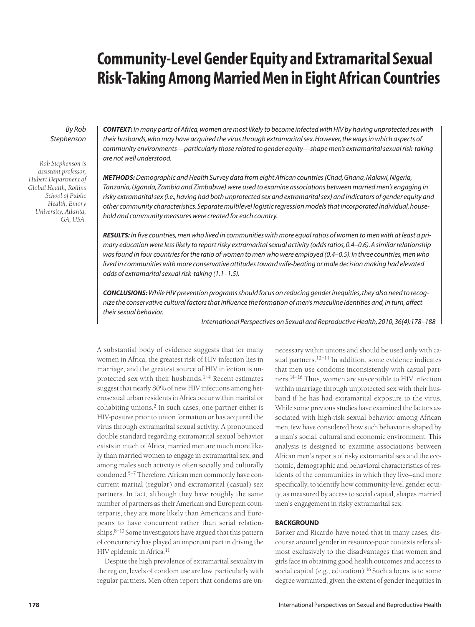# **Community-Level Gender Equity and Extramarital Sexual Risk-Taking Among Married Men in Eight African Countries**

# *By Rob Stephenson*

*Rob Stephenson is assistant professor, Hubert Department of Global Health, Rollins School of Public Health, Emory University, Atlanta, GA, USA.*

*CONTEXT: In many parts of Africa, women are most likely to become infected with HIV by having unprotected sex with their husbands, who may have acquired the virus through extramarital sex. However, the ways in which aspects of community environments—particularly those related to gender equity—shape men's extramarital sexual risk-taking are not well understood.*

*METHODS:Demographic and Health Survey data from eight African countries (Chad, Ghana, Malawi, Nigeria, Tanzania, Uganda, Zambia and Zimbabwe) were used to examine associations between married men's engaging in risky extramarital sex (i.e., having had both unprotected sex and extramarital sex) and indicators of gender equity and other community characteristics. Separate multilevel logistic regression models that incorporated individual, household and community measures were created for each country.*

*RESULTS: In five countries, men who lived in communities with more equal ratios of women to men with at least a primary education were less likely to report risky extramarital sexual activity (odds ratios, 0.4–0.6). A similar relationship was found in four countries for the ratio of women to men who were employed (0.4–0.5). In three countries, men who lived in communities with more conservative attitudes toward wife-beating or male decision making had elevated odds of extramarital sexual risk-taking (1.1–1.5).*

*CONCLUSIONS:While HIV prevention programs should focus on reducing gender inequities, they also need to recognize the conservative cultural factors that influence the formation of men's masculine identities and, in turn, affect their sexual behavior.*

*International Perspectives on Sexual and Reproductive Health, 2010, 36(4):178–188*

A substantial body of evidence suggests that for many women in Africa, the greatest risk of HIV infection lies in marriage, and the greatest source of HIV infection is unprotected sex with their husbands.1–4 Recent estimates suggest that nearly 80% of new HIV infections among heterosexual urban residents in Africa occur within marital or cohabiting unions.<sup>2</sup> In such cases, one partner either is HIV-positive prior to union formation or has acquired the virus through extramarital sexual activity. A pronounced double standard regarding extramarital sexual behavior exists in much of Africa; married men are much more likely than married women to engage in extramarital sex, and among males such activity is often socially and culturally condoned.5–7 Therefore, African men commonly have concurrent marital (regular) and extramarital (casual) sex partners. In fact, although they have roughly the same number of partners as their American and European counterparts, they are more likely than Americans and Europeans to have concurrent rather than serial relationships.<sup>8–10</sup> Some investigators have argued that this pattern of concurrency has played an important part in driving the HIV epidemic in Africa.<sup>11</sup>

Despite the high prevalence of extramarital sexuality in the region, levels of condom use are low, particularly with regular partners. Men often report that condoms are un-

necessary within unions and should be used only with casual partners.<sup>12–14</sup> In addition, some evidence indicates that men use condoms inconsistently with casual partners.14–16 Thus, women are susceptible to HIV infection within marriage through unprotected sex with their husband if he has had extramarital exposure to the virus. While some previous studies have examined the factors associated with high-risk sexual behavior among African men, few have considered how such behavior is shaped by a man's social, cultural and economic environment. This analysis is designed to examine associations between African men's reports of risky extramarital sex and the economic, demographic and behavioral characteristics of residents of the communities in which they live—and more specifically, to identify how community-level gender equity, as measured by access to social capital, shapes married men's engagement in risky extramarital sex.

# **BACKGROUND**

Barker and Ricardo have noted that in many cases, discourse around gender in resource-poor contexts refers almost exclusively to the disadvantages that women and girls face in obtaining good health outcomes and access to social capital (e.g., education).<sup>16</sup> Such a focus is to some degree warranted, given the extent of gender inequities in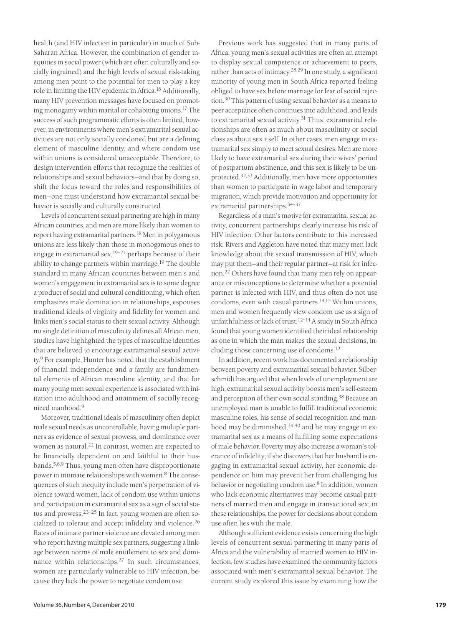health (and HIV infection in particular) in much of Sub-Saharan Africa. However, the combination of gender inequities in social power (which are often culturally and socially ingrained) and the high levels of sexual risk-taking among men point to the potential for men to play a key role in limiting the HIV epidemic in Africa.16 Additionally, many HIV prevention messages have focused on promoting monogamy within marital or cohabiting unions.17 The success of such programmatic efforts is often limited, however, in environments where men's extramarital sexual activities are not only socially condoned but are a defining element of masculine identity, and where condom use within unions is considered unacceptable. Therefore, to design intervention efforts that recognize the realities of relationships and sexual behaviors—and that by doing so, shift the focus toward the roles and responsibilities of men—one must understand how extramarital sexual behavior is socially and culturally constructed.

Levels of concurrent sexual partnering are high in many African countries, and men are more likely than women to report having extramarital partners.18 Men in polygamous unions are less likely than those in monogamous ones to engage in extramarital sex,19–21 perhaps because of their ability to change partners within marriage.<sup>19</sup> The double standard in many African countries between men's and women's engagement in extramarital sex is to some degree a product of social and cultural conditioning, which often emphasizes male domination in relationships, espouses traditional ideals of virginity and fidelity for women and links men's social status to their sexual activity. Although no single definition of masculinity defines all African men, studies have highlighted the types of masculine identities that are believed to encourage extramarital sexual activity.9 For example, Hunter has noted that the establishment of financial independence and a family are fundamental elements of African masculine identity, and that for many young men sexual experience is associated with initiation into adulthood and attainment of socially recognized manhood.9

Moreover, traditional ideals of masculinity often depict male sexual needs as uncontrollable, having multiple partners as evidence of sexual prowess, and dominance over women as natural.<sup>22</sup> In contrast, women are expected to be financially dependent on and faithful to their husbands.5,6,9 Thus, young men often have disproportionate power in intimate relationships with women.8 The consequences of such inequity include men's perpetration of violence toward women, lack of condom use within unions and participation in extramarital sex as a sign of social status and prowess.23–25 In fact, young women are often socialized to tolerate and accept infidelity and violence.<sup>26</sup> Rates of intimate partner violence are elevated among men who report having multiple sex partners, suggesting a linkage between norms of male entitlement to sex and dominance within relationships.<sup>27</sup> In such circumstances, women are particularly vulnerable to HIV infection, because they lack the power to negotiate condom use.

Previous work has suggested that in many parts of Africa, young men's sexual activities are often an attempt to display sexual competence or achievement to peers, rather than acts of intimacy.<sup>28,29</sup> In one study, a significant minority of young men in South Africa reported feeling obliged to have sex before marriage for fear of social rejection.30 This pattern of using sexual behavior as a means to peer acceptance often continues into adulthood, and leads to extramarital sexual activity.<sup>31</sup> Thus, extramarital relationships are often as much about masculinity or social class as about sex itself. In other cases, men engage in extramarital sex simply to meet sexual desires. Men are more likely to have extramarital sex during their wives' period of postpartum abstinence, and this sex is likely to be unprotected.32,33 Additionally, men have more opportunities than women to participate in wage labor and temporary migration, which provide motivation and opportunity for extramarital partnerships.34–37

Regardless of a man's motive for extramarital sexual activity, concurrent partnerships clearly increase his risk of HIV infection. Other factors contribute to this increased risk. Rivers and Aggleton have noted that many men lack knowledge about the sexual transmission of HIV, which may put them—and their regular partner—at risk for infection.22 Others have found that many men rely on appearance or misconceptions to determine whether a potential partner is infected with HIV, and thus often do not use condoms, even with casual partners.<sup>14,15</sup> Within unions, men and women frequently view condom use as a sign of unfaithfulness or lack of trust.12–14 A study in South Africa found that young women identified their ideal relationship as one in which the man makes the sexual decisions, including those concerning use of condoms.12

In addition, recent work has documented a relationship between poverty and extramarital sexual behavior. Silberschmidt has argued that when levels of unemployment are high, extramarital sexual activity boosts men's self-esteem and perception of their own social standing.38 Because an unemployed man is unable to fulfill traditional economic masculine roles, his sense of social recognition and manhood may be diminished,<sup>39,40</sup> and he may engage in extramarital sex as a means of fulfilling some expectations of male behavior. Poverty may also increase a woman's tolerance of infidelity; if she discovers that her husband is engaging in extramarital sexual activity, her economic dependence on him may prevent her from challenging his behavior or negotiating condom use.8 In addition, women who lack economic alternatives may become casual partners of married men and engage in transactional sex; in these relationships, the power for decisions about condom use often lies with the male.

Although sufficient evidence exists concerning the high levels of concurrent sexual partnering in many parts of Africa and the vulnerability of married women to HIV infection, few studies have examined the community factors associated with men's extramarital sexual behavior. The current study explored this issue by examining how the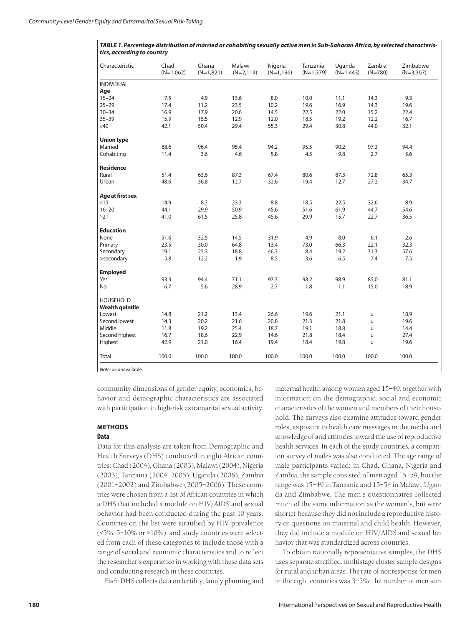| TABLE 1. Percentage distribution of married or cohabiting sexually active men in Sub-Saharan Africa, by selected characteris- |
|-------------------------------------------------------------------------------------------------------------------------------|
| tics, according to country                                                                                                    |

| Characteristic         | Chad<br>$(N=1,062)$ | Ghana<br>$(N=1,821)$ | Malawi<br>$(N=2, 114)$ | Nigeria<br>$(N=1, 196)$ | Tanzania<br>$(N=1,379)$ | Uganda<br>$(N=1,443)$ | Zambia<br>$(N=780)$ | Zimbabwe<br>$(N=3,367)$ |
|------------------------|---------------------|----------------------|------------------------|-------------------------|-------------------------|-----------------------|---------------------|-------------------------|
| <b>INDIVIDUAL</b>      |                     |                      |                        |                         |                         |                       |                     |                         |
| Age                    |                     |                      |                        |                         |                         |                       |                     |                         |
| $15 - 24$              | 7.5                 | 4.9                  | 13.6                   | 8.0                     | 10.0                    | 11.1                  | 14.3                | 9.3                     |
| $25 - 29$              | 17.4                | 11.2                 | 23.5                   | 10.2                    | 19.6                    | 16.9                  | 14.3                | 19.6                    |
| $30 - 34$              | 16.9                | 17.9                 | 20.6                   | 14.5                    | 22.5                    | 22.0                  | 15.2                | 22.4                    |
| $35 - 39$              | 15.9                | 15.5                 | 12.9                   | 12.0                    | 18.5                    | 19.2                  | 12.2                | 16.7                    |
| $\geq 40$              | 42.1                | 50.4                 | 29.4                   | 55.3                    | 29.4                    | 30.8                  | 44.0                | 32.1                    |
| <b>Union type</b>      |                     |                      |                        |                         |                         |                       |                     |                         |
| Married                | 88.6                | 96.4                 | 95.4                   | 94.2                    | 95.5                    | 90.2                  | 97.3                | 94.4                    |
| Cohabiting             | 11.4                | 3.6                  | 4.6                    | 5.8                     | 4.5                     | 9.8                   | 2.7                 | 5.6                     |
| <b>Residence</b>       |                     |                      |                        |                         |                         |                       |                     |                         |
| Rural                  | 51.4                | 63.6                 | 87.3                   | 67.4                    | 80.6                    | 87.3                  | 72.8                | 65.3                    |
| Urban                  | 48.6                | 36.8                 | 12.7                   | 32.6                    | 19.4                    | 12.7                  | 27.2                | 34.7                    |
| Age at first sex       |                     |                      |                        |                         |                         |                       |                     |                         |
| $\leq$ 15              | 14.9                | 8.7                  | 23.3                   | 8.8                     | 18.5                    | 22.5                  | 32.6                | 8.9                     |
| $16 - 20$              | 44.1                | 29.9                 | 50.9                   | 45.6                    | 51.6                    | 61.9                  | 44.7                | 54.6                    |
| $\geq$ 21              | 41.0                | 61.5                 | 25.8                   | 45.6                    | 29.9                    | 15.7                  | 22.7                | 36.5                    |
| <b>Education</b>       |                     |                      |                        |                         |                         |                       |                     |                         |
| None                   | 51.6                | 32.5                 | 14.5                   | 31.9                    | 4.9                     | 8.0                   | 6.1                 | 2.6                     |
| Primary                | 23.5                | 30.0                 | 64.8                   | 13.4                    | 73.0                    | 66.3                  | 22.1                | 32.3                    |
| Secondary              | 19.1                | 25.3                 | 18.8                   | 46.3                    | 8.4                     | 19.2                  | 31.3                | 57.6                    |
| >secondary             | 5.8                 | 12.2                 | 1.9                    | 8.5                     | 3.6                     | 6.5                   | 7.4                 | 7.5                     |
| <b>Employed</b>        |                     |                      |                        |                         |                         |                       |                     |                         |
| Yes                    | 93.3                | 94.4                 | 71.1                   | 97.3                    | 98.2                    | 98.9                  | 85.0                | 81.1                    |
| No.                    | 6.7                 | 5.6                  | 28.9                   | 2.7                     | 1.8                     | 1.1                   | 15.0                | 18.9                    |
| <b>HOUSEHOLD</b>       |                     |                      |                        |                         |                         |                       |                     |                         |
| <b>Wealth quintile</b> |                     |                      |                        |                         |                         |                       |                     |                         |
| Lowest                 | 14.8                | 21.2                 | 13.4                   | 26.6                    | 19.6                    | 21.1                  | $\mathsf{u}$        | 18.9                    |
| Second lowest          | 14.3                | 20.2                 | 21.6                   | 20.8                    | 21.3                    | 21.8                  | $\mathsf{u}$        | 19.6                    |
| Middle                 | 11.8                | 19.2                 | 25.4                   | 18.7                    | 19.1                    | 18.8                  | $\mathsf{u}$        | 14.4                    |
| Second highest         | 16.7                | 18.6                 | 22.9                   | 14.6                    | 21.8                    | 18.4                  | $\mathsf{u}$        | 27.4                    |
| Highest                | 42.9                | 21.0                 | 16.4                   | 19.4                    | 18.4                    | 19.8                  | u                   | 19.6                    |
| Total                  | 100.0               | 100.0                | 100.0                  | 100.0                   | 100.0                   | 100.0                 | 100.0               | 100.0                   |

*Note:* u=unavailable.

community dimensions of gender equity, economics, behavior and demographic characteristics are associated with participation in high-risk extramarital sexual activity.

### **METHODS**

#### **Data**

Data for this analysis are taken from Demographic and Health Surveys (DHS) conducted in eight African countries: Chad (2004), Ghana (2003), Malawi (2004), Nigeria (2003), Tanzania (2004–2005), Uganda (2006), Zambia (2001–2002) and Zimbabwe (2005–2006). These countries were chosen from a list of African countries in which a DHS that included a module on HIV/AIDS and sexual behavior had been conducted during the past 10 years. Countries on the list were stratified by HIV prevalence  $(5\%, 5-10\% \text{ or } >10\%)$ , and study countries were selected from each of these categories to include those with a range of social and economic characteristics and to reflect the researcher's experience in working with these data sets and conducting research in these countries.

Each DHS collects data on fertility, family planning and

maternal health among women aged 15–49, together with information on the demographic, social and economic characteristics of the women and members of their household. The surveys also examine attitudes toward gender roles, exposure to health care messages in the media and knowledge of and attitudes toward the use of reproductive health services. In each of the study countries, a companion survey of males was also conducted. The age range of male participants varied; in Chad, Ghana, Nigeria and Zambia, the sample consisted of men aged 15–59, but the range was 15–49 in Tanzania and 15–54 in Malawi, Uganda and Zimbabwe. The men's questionnaires collected much of the same information as the women's, but were shorter because they did not include a reproductive history or questions on maternal and child health. However, they did include a module on HIV/AIDS and sexual behavior that was standardized across countries.

To obtain nationally representative samples, the DHS uses separate stratified, multistage cluster sample designs for rural and urban areas. The rate of nonresponse for men in the eight countries was 3–5%; the number of men sur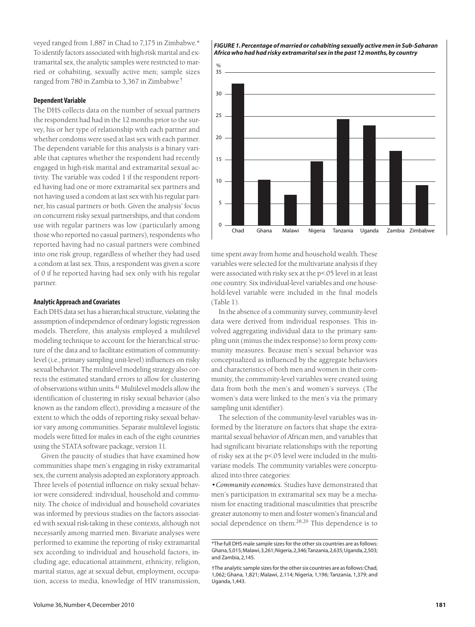veyed ranged from 1,887 in Chad to 7,175 in Zimbabwe.\* To identify factors associated with high-risk marital and extramarital sex, the analytic samples were restricted to married or cohabiting, sexually active men; sample sizes ranged from 780 in Zambia to 3,367 in Zimbabwe.†

## **Dependent Variable**

The DHS collects data on the number of sexual partners the respondent had had in the 12 months prior to the survey, his or her type of relationship with each partner and whether condoms were used at last sex with each partner. The dependent variable for this analysis is a binary variable that captures whether the respondent had recently engaged in high-risk marital and extramarital sexual activity. The variable was coded 1 if the respondent reported having had one or more extramarital sex partners and not having used a condom at last sex with his regular partner, his casual partners or both. Given the analysis' focus on concurrent risky sexual partnerships, and that condom use with regular partners was low (particularly among those who reported no casual partners), respondents who reported having had no casual partners were combined into one risk group, regardless of whether they had used a condom at last sex. Thus, a respondent was given a score of 0 if he reported having had sex only with his regular partner.

### **Analytic Approach and Covariates**

Each DHS data set has a hierarchical structure, violating the assumption of independence of ordinary logistic regression models. Therefore, this analysis employed a multilevel modeling technique to account for the hierarchical structure of the data and to facilitate estimation of communitylevel (i.e., primary sampling unit-level) influences on risky sexual behavior. The multilevel modeling strategy also corrects the estimated standard errors to allow for clustering of observations within units.41 Multilevel models allow the identification of clustering in risky sexual behavior (also known as the random effect), providing a measure of the extent to which the odds of reporting risky sexual behavior vary among communities. Separate multilevel logistic models were fitted for males in each of the eight countries using the STATA software package, version 11.

Given the paucity of studies that have examined how communities shape men's engaging in risky extramarital sex, the current analysis adopted an exploratory approach. Three levels of potential influence on risky sexual behavior were considered: individual, household and community. The choice of individual and household covariates was informed by previous studies on the factors associated with sexual risk-taking in these contexts, although not necessarily among married men. Bivariate analyses were performed to examine the reporting of risky extramarital sex according to individual and household factors, including age, educational attainment, ethnicity, religion, marital status, age at sexual debut, employment, occupation, access to media, knowledge of HIV transmission,

*FIGURE 1. Percentage of married or cohabiting sexually active men in Sub-Saharan Africa who had had risky extramarital sex in the past 12 months, by country*



time spent away from home and household wealth. These variables were selected for the multivariate analysis if they were associated with risky sex at the p<.05 level in at least one country. Six individual-level variables and one household-level variable were included in the final models (Table 1).

In the absence of a community survey, community-level data were derived from individual responses. This involved aggregating individual data to the primary sampling unit (minus the index response) to form proxy community measures. Because men's sexual behavior was conceptualized as influenced by the aggregate behaviors and characteristics of both men and women in their community, the community-level variables were created using data from both the men's and women's surveys. (The women's data were linked to the men's via the primary sampling unit identifier).

The selection of the community-level variables was informed by the literature on factors that shape the extramarital sexual behavior of African men, and variables that had significant bivariate relationships with the reporting of risky sex at the p<.05 level were included in the multivariate models. The community variables were conceptualized into three categories:

*•Community economics.* Studies have demonstrated that men's participation in extramarital sex may be a mechanism for enacting traditional masculinities that prescribe greater autonomy to men and foster women's financial and social dependence on them.28,29 This dependence is to

<sup>\*</sup>The full DHS male sample sizes for the other six countries are as follows: Ghana,5,015;Malawi,3,261;Nigeria,2,346;Tanzania,2,635;Uganda,2,503; and Zambia, 2,145.

<sup>†</sup>The analytic sample sizes for the other six countries are as follows:Chad, 1,062; Ghana, 1,821; Malawi, 2,114; Nigeria, 1,196; Tanzania, 1,379; and Uganda, 1,443.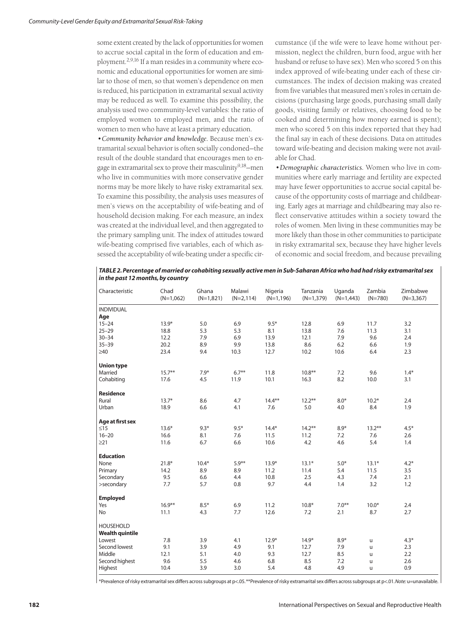some extent created by the lack of opportunities for women to accrue social capital in the form of education and employment.2,9,16 If a man resides in a community where economic and educational opportunities for women are similar to those of men, so that women's dependence on men is reduced, his participation in extramarital sexual activity may be reduced as well. To examine this possibility, the analysis used two community-level variables: the ratio of employed women to employed men, and the ratio of women to men who have at least a primary education.

*•Community behavior and knowledge.* Because men's extramarital sexual behavior is often socially condoned—the result of the double standard that encourages men to engage in extramarital sex to prove their masculinity<sup>9,18</sup>-men who live in communities with more conservative gender norms may be more likely to have risky extramarital sex. To examine this possibility, the analysis uses measures of men's views on the acceptability of wife-beating and of household decision making. For each measure, an index was created at the individual level, and then aggregated to the primary sampling unit. The index of attitudes toward wife-beating comprised five variables, each of which assessed the acceptability of wife-beating under a specific circumstance (if the wife were to leave home without permission, neglect the children, burn food, argue with her husband or refuse to have sex). Men who scored 5 on this index approved of wife-beating under each of these circumstances. The index of decision making was created from five variables that measured men's roles in certain decisions (purchasing large goods, purchasing small daily goods, visiting family or relatives, choosing food to be cooked and determining how money earned is spent); men who scored 5 on this index reported that they had the final say in each of these decisions. Data on attitudes toward wife-beating and decision making were not available for Chad.

*•Demographic characteristics.* Women who live in communities where early marriage and fertility are expected may have fewer opportunities to accrue social capital because of the opportunity costs of marriage and childbearing. Early ages at marriage and childbearing may also reflect conservative attitudes within a society toward the roles of women. Men living in these communities may be more likely than those in other communities to participate in risky extramarital sex, because they have higher levels of economic and social freedom, and because prevailing

*TABLE 2. Percentage of married or cohabiting sexually active men in Sub-Saharan Africa who had had risky extramarital sex in the past 12 months, by country*

| Characteristic                             | Chad<br>$(N=1,062)$ | Ghana<br>$(N=1,821)$ | Malawi<br>$(N=2, 114)$ | Nigeria<br>$(N=1,196)$ | Tanzania<br>$(N=1,379)$ | Uganda<br>$(N=1,443)$ | Zambia<br>$(N=780)$ | Zimbabwe<br>$(N=3,367)$ |
|--------------------------------------------|---------------------|----------------------|------------------------|------------------------|-------------------------|-----------------------|---------------------|-------------------------|
| <b>INDIVIDUAL</b>                          |                     |                      |                        |                        |                         |                       |                     |                         |
| Age                                        |                     |                      |                        |                        |                         |                       |                     |                         |
| $15 - 24$                                  | $13.9*$             | 5.0                  | 6.9                    | $9.5*$                 | 12.8                    | 6.9                   | 11.7                | 3.2                     |
| $25 - 29$                                  | 18.8                | 5.3                  | 5.3                    | 8.1                    | 13.8                    | 7.6                   | 11.3                | 3.1                     |
| $30 - 34$                                  | 12.2                | 7.9                  | 6.9                    | 13.9                   | 12.1                    | 7.9                   | 9.6                 | 2.4                     |
| $35 - 39$                                  | 20.2                | 8.9                  | 9.9                    | 13.8                   | 8.6                     | 6.2                   | 6.6                 | 1.9                     |
| $\geq 40$                                  | 23.4                | 9.4                  | 10.3                   | 12.7                   | 10.2                    | 10.6                  | 6.4                 | 2.3                     |
| <b>Union type</b>                          |                     |                      |                        |                        |                         |                       |                     |                         |
| Married                                    | $15.7***$           | $7.9*$               | $6.7**$                | 11.8                   | $10.8**$                | 7.2                   | 9.6                 | $1.4*$                  |
| Cohabiting                                 | 17.6                | 4.5                  | 11.9                   | 10.1                   | 16.3                    | 8.2                   | 10.0                | 3.1                     |
| <b>Residence</b>                           |                     |                      |                        |                        |                         |                       |                     |                         |
| Rural                                      | $13.7*$             | 8.6                  | 4.7                    | $14.4***$              | $12.2***$               | $8.0*$                | $10.2*$             | 2.4                     |
| Urban                                      | 18.9                | 6.6                  | 4.1                    | 7.6                    | 5.0                     | 4.0                   | 8.4                 | 1.9                     |
| Age at first sex                           |                     |                      |                        |                        |                         |                       |                     |                         |
| $\leq15$                                   | $13.6*$             | $9.3*$               | $9.5*$                 | $14.4*$                | $14.2***$               | $8.9*$                | $13.2***$           | $4.5*$                  |
| $16 - 20$                                  | 16.6                | 8.1                  | 7.6                    | 11.5                   | 11.2                    | 7.2                   | 7.6                 | 2.6                     |
| $\geq$ 21                                  | 11.6                | 6.7                  | 6.6                    | 10.6                   | 4.2                     | 4.6                   | 5.4                 | 1.4                     |
| <b>Education</b>                           |                     |                      |                        |                        |                         |                       |                     |                         |
| None                                       | $21.8*$             | $10.4*$              | $5.9**$                | $13.9*$                | $13.1*$                 | $5.0*$                | $13.1*$             | $4.2*$                  |
| Primary                                    | 14.2                | 8.9                  | 8.9                    | 11.2                   | 11.4                    | 5.4                   | 11.5                | 3.5                     |
| Secondary                                  | 9.5                 | 6.6                  | 4.4                    | 10.8                   | 2.5                     | 4.3                   | 7.4                 | 2.1                     |
| >secondary                                 | 7.7                 | 5.7                  | 0.8                    | 9.7                    | 4.4                     | 1.4                   | 3.2                 | 1.2                     |
| <b>Employed</b>                            |                     |                      |                        |                        |                         |                       |                     |                         |
| Yes                                        | $16.9***$           | $8.5*$               | 6.9                    | 11.2                   | $10.8*$                 | $7.0**$               | $10.0*$             | 2.4                     |
| No                                         | 11.1                | 4.3                  | 7.7                    | 12.6                   | 7.2                     | 2.1                   | 8.7                 | 2.7                     |
| <b>HOUSEHOLD</b><br><b>Wealth quintile</b> |                     |                      |                        |                        |                         |                       |                     |                         |
| Lowest                                     | 7.8                 | 3.9                  | 4.1                    | $12.9*$                | $14.9*$                 | $8.9*$                | u                   | $4.3*$                  |
| Second lowest                              | 9.1                 | 3.9                  | 4.9                    | 9.1                    | 12.7                    | 7.9                   | $\mathsf{u}$        | 2.3                     |
| Middle                                     | 12.1                | 5.1                  | 4.0                    | 9.3                    | 12.7                    | 8.5                   | u                   | 2.2                     |
| Second highest                             | 9.6                 | 5.5                  | 4.6                    | 6.8                    | 8.5                     | 7.2                   | u                   | 2.6                     |
| Highest                                    | 10.4                | 3.9                  | 3.0                    | 5.4                    | 4.8                     | 4.9                   | u                   | 0.9                     |

\*Prevalence of risky extramarital sex differs across subgroups at p<.05.\*\*Prevalence of risky extramarital sex differs across subgroups at p<.01.*Note:* u=unavailable.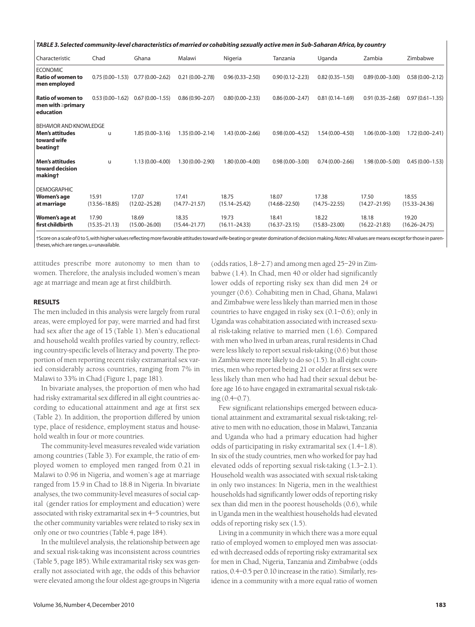| TABLE 3. Selected community-level characteristics of married or cohabiting sexually active men in Sub-Saharan Africa, by country |                            |                            |                            |                            |                            |                            |                            |                            |  |  |
|----------------------------------------------------------------------------------------------------------------------------------|----------------------------|----------------------------|----------------------------|----------------------------|----------------------------|----------------------------|----------------------------|----------------------------|--|--|
| Characteristic                                                                                                                   | Chad                       | Ghana                      | Malawi                     | Nigeria                    | Tanzania                   | Uganda                     | Zambia                     | Zimbabwe                   |  |  |
| <b>ECONOMIC</b><br><b>Ratio of women to</b><br>men employed                                                                      | $0.75(0.00 - 1.53)$        | $0.77(0.00 - 2.62)$        | $0.21(0.00 - 2.78)$        | $0.96(0.33 - 2.50)$        | $0.90(0.12 - 2.23)$        | $0.82(0.35 - 1.50)$        | $0.89(0.00 - 3.00)$        | $0.58(0.00 - 2.12)$        |  |  |
| Ratio of women to<br>men with $\ge$ primary<br>education                                                                         | $0.53(0.00 - 1.62)$        | $0.67(0.00 - 1.55)$        | $0.86(0.90 - 2.07)$        | $0.80(0.00 - 2.33)$        | $0.86(0.00 - 2.47)$        | $0.81(0.14 - 1.69)$        | $0.91(0.35 - 2.68)$        | $0.97(0.61 - 1.35)$        |  |  |
| <b>BEHAVIOR AND KNOWLEDGE</b><br><b>Men's attitudes</b><br>toward wife<br>beating†                                               | u                          | $1.85(0.00 - 3.16)$        | $1.35(0.00 - 2.14)$        | $1.43(0.00 - 2.66)$        | $0.98(0.00 - 4.52)$        | 1.54 (0.00-4.50)           | $1.06(0.00 - 3.00)$        | $1.72(0.00 - 2.41)$        |  |  |
| <b>Men's attitudes</b><br>toward decision<br>making†                                                                             | u                          | $1.13(0.00 - 4.00)$        | $1.30(0.00 - 2.90)$        | $1.80(0.00 - 4.00)$        | $0.98(0.00 - 3.00)$        | $0.74(0.00 - 2.66)$        | $1.98(0.00 - 5.00)$        | $0.45(0.00 - 1.53)$        |  |  |
| <b>DEMOGRAPHIC</b><br>Women's age<br>at marriage                                                                                 | 15.91<br>$(13.56 - 18.85)$ | 17.07<br>$(12.02 - 25.28)$ | 17.41<br>$(14.77 - 21.57)$ | 18.75<br>$(15.14 - 25.42)$ | 18.07<br>$(14.68 - 22.50)$ | 17.38<br>$(14.75 - 22.55)$ | 17.50<br>$(14.27 - 21.95)$ | 18.55<br>$(15.33 - 24.36)$ |  |  |
| Women's age at<br>first childbirth                                                                                               | 17.90<br>$(15.35 - 21.13)$ | 18.69<br>$(15.00 - 26.00)$ | 18.35<br>$(15.44 - 21.77)$ | 19.73<br>$(16.11 - 24.33)$ | 18.41<br>$(16.37 - 23.15)$ | 18.22<br>$(15.83 - 23.00)$ | 18.18<br>$(16.22 - 21.83)$ | 19.20<br>$(16.26 - 24.75)$ |  |  |

†Score on a scale of 0 to 5,with higher values reflecting more favorable attitudes toward wife-beating or greater domination of decision making.*Notes:*All values are means except for those in parentheses,which are ranges.u=unavailable.

attitudes prescribe more autonomy to men than to women. Therefore, the analysis included women's mean age at marriage and mean age at first childbirth.

#### **RESULTS**

The men included in this analysis were largely from rural areas, were employed for pay, were married and had first had sex after the age of 15 (Table 1). Men's educational and household wealth profiles varied by country, reflecting country-specific levels of literacy and poverty. The proportion of men reporting recent risky extramarital sex varied considerably across countries, ranging from 7% in Malawi to 33% in Chad (Figure 1, page 181).

In bivariate analyses, the proportion of men who had had risky extramarital sex differed in all eight countries according to educational attainment and age at first sex (Table 2). In addition, the proportion differed by union type, place of residence, employment status and household wealth in four or more countries.

The community-level measures revealed wide variation among countries (Table 3). For example, the ratio of employed women to employed men ranged from 0.21 in Malawi to 0.96 in Nigeria, and women's age at marriage ranged from 15.9 in Chad to 18.8 in Nigeria. In bivariate analyses, the two community-level measures of social capital (gender ratios for employment and education) were associated with risky extramarital sex in 4–5 countries, but the other community variables were related to risky sex in only one or two countries (Table 4, page 184).

In the multilevel analysis, the relationship between age and sexual risk-taking was inconsistent across countries (Table 5, page 185). While extramarital risky sex was generally not associated with age, the odds of this behavior were elevated among the four oldest age-groups in Nigeria

(odds ratios, 1.8–2.7) and among men aged 25–29 in Zimbabwe (1.4). In Chad, men 40 or older had significantly lower odds of reporting risky sex than did men 24 or younger (0.6). Cohabiting men in Chad, Ghana, Malawi and Zimbabwe were less likely than married men in those countries to have engaged in risky sex (0.1–0.6); only in Uganda was cohabitation associated with increased sexual risk-taking relative to married men (1.6). Compared with men who lived in urban areas, rural residents in Chad were less likely to report sexual risk-taking (0.6) but those in Zambia were more likely to do so (1.5). In all eight countries, men who reported being 21 or older at first sex were less likely than men who had had their sexual debut before age 16 to have engaged in extramarital sexual risk-taking (0.4–0.7).

Few significant relationships emerged between educational attainment and extramarital sexual risk-taking; relative to men with no education, those in Malawi, Tanzania and Uganda who had a primary education had higher odds of participating in risky extramarital sex (1.4–1.8). In six of the study countries, men who worked for pay had elevated odds of reporting sexual risk-taking (1.3–2.1). Household wealth was associated with sexual risk-taking in only two instances: In Nigeria, men in the wealthiest households had significantly lower odds of reporting risky sex than did men in the poorest households (0.6), while in Uganda men in the wealthiest households had elevated odds of reporting risky sex (1.5).

Living in a community in which there was a more equal ratio of employed women to employed men was associated with decreased odds of reporting risky extramarital sex for men in Chad, Nigeria, Tanzania and Zimbabwe (odds ratios, 0.4–0.5 per 0.10 increase in the ratio). Similarly, residence in a community with a more equal ratio of women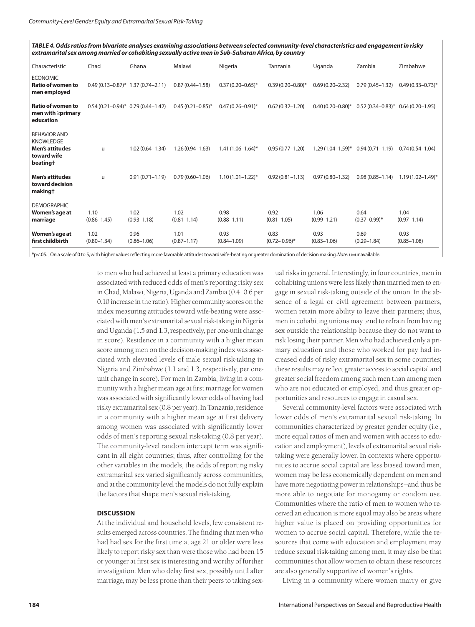*TABLE 4. Odds ratios from bivariate analyses examining associations between selected community-level characteristics and engagement in risky extramarital sex among married or cohabiting sexually active men in Sub-Saharan Africa, by country*

| Characteristic                                                                                           | Chad                                 | Ghana                   | Malawi                  | Nigeria                 | Tanzania                  | Uganda                  | Zambia                               | Zimbabwe                |
|----------------------------------------------------------------------------------------------------------|--------------------------------------|-------------------------|-------------------------|-------------------------|---------------------------|-------------------------|--------------------------------------|-------------------------|
| <b>ECONOMIC</b><br><b>Ratio of women to</b><br>men employed                                              | $0.49(0.13-0.87)^*$ 1.37 (0.74-2.11) |                         | $0.87(0.44 - 1.58)$     | $0.37(0.20 - 0.65)^*$   | $0.39(0.20 - 0.80)$ *     | $0.69(0.20 - 2.32)$     | $0.79(0.45 - 1.32)$                  | $0.49(0.33 - 0.73)^*$   |
| <b>Ratio of women to</b><br>men with $\geq$ primary<br>education                                         | $0.54(0.21-0.94)*0.79(0.44-1.42)$    |                         | $0.45(0.21 - 0.85)^*$   | $0.47(0.26 - 0.91)^*$   | $0.62(0.32 - 1.20)$       | $0.40(0.20 - 0.80)$ *   | $0.52(0.34-0.83)^*$ 0.64 (0.20-1.95) |                         |
| <b>BEHAVIOR AND</b><br><b>KNOWLEDGE</b><br><b>Men's attitudes</b><br>toward wife<br>beating <sup>+</sup> | u                                    | $1.02(0.64 - 1.34)$     | $1.26(0.94 - 1.63)$     | $1.41(1.06 - 1.64)^{*}$ | $0.95(0.77 - 1.20)$       | $1.29(1.04 - 1.59)^*$   | $0.94(0.71 - 1.19)$                  | $0.74(0.54 - 1.04)$     |
| <b>Men's attitudes</b><br>toward decision<br>making†                                                     | u                                    | $0.91(0.71 - 1.19)$     | $0.79(0.60 - 1.06)$     | $1.10(1.01 - 1.22)^{*}$ | $0.92(0.81 - 1.13)$       | $0.97(0.80 - 1.32)$     | $0.98(0.85 - 1.14)$                  | $1.19(1.02 - 1.49)^*$   |
| <b>DEMOGRAPHIC</b><br>Women's age at<br>marriage                                                         | 1.10<br>$(0.86 - 1.45)$              | 1.02<br>$(0.93 - 1.18)$ | 1.02<br>$(0.81 - 1.14)$ | 0.98<br>$(0.88 - 1.11)$ | 0.92<br>$(0.81 - 1.05)$   | 1.06<br>$(0.99 - 1.21)$ | 0.64<br>$(0.37 - 0.99)^*$            | 1.04<br>$(0.97 - 1.14)$ |
| Women's age at<br>first childbirth                                                                       | 1.02<br>$(0.80 - 1.34)$              | 0.96<br>$(0.86 - 1.06)$ | 1.01<br>$(0.87 - 1.17)$ | 0.93<br>$(0.84 - 1.09)$ | 0.83<br>$(0.72 - 0.96)^*$ | 0.93<br>$(0.83 - 1.06)$ | 0.69<br>$(0.29 - 1.84)$              | 0.93<br>$(0.85 - 1.08)$ |

\*p<.05.†On a scale of 0 to 5,with higher values reflecting more favorable attitudes toward wife-beating or greater domination of decision making.*Note:* u=unavailable.

to men who had achieved at least a primary education was associated with reduced odds of men's reporting risky sex in Chad, Malawi, Nigeria, Uganda and Zambia (0.4–0.6 per 0.10 increase in the ratio). Higher community scores on the index measuring attitudes toward wife-beating were associated with men's extramarital sexual risk-taking in Nigeria and Uganda (1.5 and 1.3, respectively, per one-unit change in score). Residence in a community with a higher mean score among men on the decision-making index was associated with elevated levels of male sexual risk-taking in Nigeria and Zimbabwe (1.1 and 1.3, respectively, per oneunit change in score). For men in Zambia, living in a community with a higher mean age at first marriage for women was associated with significantly lower odds of having had risky extramarital sex (0.8 per year). In Tanzania, residence in a community with a higher mean age at first delivery among women was associated with significantly lower odds of men's reporting sexual risk-taking (0.8 per year). The community-level random intercept term was significant in all eight countries; thus, after controlling for the other variables in the models, the odds of reporting risky extramarital sex varied significantly across communities, and at the community level the models do not fully explain the factors that shape men's sexual risk-taking.

#### **DISCUSSION**

At the individual and household levels, few consistent results emerged across countries. The finding that men who had had sex for the first time at age 21 or older were less likely to report risky sex than were those who had been 15 or younger at first sex is interesting and worthy of further investigation. Men who delay first sex, possibly until after marriage, may be less prone than their peers to taking sex-

ual risks in general. Interestingly, in four countries, men in cohabiting unions were less likely than married men to engage in sexual risk-taking outside of the union. In the absence of a legal or civil agreement between partners, women retain more ability to leave their partners; thus, men in cohabiting unions may tend to refrain from having sex outside the relationship because they do not want to risk losing their partner. Men who had achieved only a primary education and those who worked for pay had increased odds of risky extramarital sex in some countries; these results may reflect greater access to social capital and greater social freedom among such men than among men who are not educated or employed, and thus greater opportunities and resources to engage in casual sex.

Several community-level factors were associated with lower odds of men's extramarital sexual risk-taking. In communities characterized by greater gender equity (i.e., more equal ratios of men and women with access to education and employment), levels of extramarital sexual risktaking were generally lower. In contexts where opportunities to accrue social capital are less biased toward men, women may be less economically dependent on men and have more negotiating power in relationships—and thus be more able to negotiate for monogamy or condom use. Communities where the ratio of men to women who received an education is more equal may also be areas where higher value is placed on providing opportunities for women to accrue social capital. Therefore, while the resources that come with education and employment may reduce sexual risk-taking among men, it may also be that communities that allow women to obtain these resources are also generally supportive of women's rights.

Living in a community where women marry or give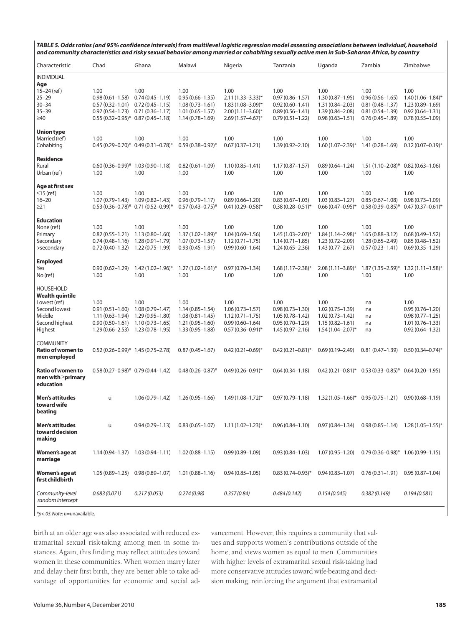*TABLE 5. Odds ratios (and 95% confidence intervals) from multilevel logistic regression model assessing associations between individual, household and community characteristics and risky sexual behavior among married or cohabiting sexually active men in Sub-Saharan Africa, by country*

| Characteristic                                                                                                     | Chad                                                                                                              | Ghana                                                                                         | Malawi                                                                                           | Nigeria                                                                                               | Tanzania                                                                                         | Uganda                                                                                               | Zambia                                                                                           | Zimbabwe                                                                                           |
|--------------------------------------------------------------------------------------------------------------------|-------------------------------------------------------------------------------------------------------------------|-----------------------------------------------------------------------------------------------|--------------------------------------------------------------------------------------------------|-------------------------------------------------------------------------------------------------------|--------------------------------------------------------------------------------------------------|------------------------------------------------------------------------------------------------------|--------------------------------------------------------------------------------------------------|----------------------------------------------------------------------------------------------------|
| <b>INDIVIDUAL</b><br>Age                                                                                           |                                                                                                                   |                                                                                               |                                                                                                  |                                                                                                       |                                                                                                  |                                                                                                      |                                                                                                  |                                                                                                    |
| $15 - 24$ (ref)<br>$25 - 29$<br>$30 - 34$<br>$35 - 39$<br>≥40                                                      | 1.00<br>$0.98(0.61 - 1.58)$<br>$0.57(0.32 - 1.01)$<br>$0.97(0.54 - 1.73)$<br>$0.55(0.32-0.95)^*$ 0.87 (0.45-1.18) | 1.00<br>$0.74(0.45 - 1.19)$<br>$0.72(0.45 - 1.15)$<br>$0.71(0.36 - 1.17)$                     | 1.00<br>$0.95(0.66 - 1.35)$<br>$1.08(0.73 - 1.61)$<br>$1.01(0.65 - 1.57)$<br>$1.14(0.78 - 1.69)$ | 1.00<br>$2.11(1.33 - 3.33)*$<br>1.83 (1.08-3.09)*<br>$2.00(1.11 - 3.60)^{*}$<br>$2.69(1.57 - 4.67)^*$ | 1.00<br>$0.97(0.86 - 1.57)$<br>$0.92(0.60 - 1.41)$<br>$0.89(0.56 - 1.41)$<br>$0.79(0.51 - 1.22)$ | 1.00<br>$1.30(0.87 - 1.95)$<br>$1.31(0.84 - 2.03)$<br>$1.39(0.84 - 2.08)$<br>$0.98(0.63 - 1.51)$     | 1.00<br>$0.96(0.56 - 1.65)$<br>$0.81(0.48 - 1.37)$<br>$0.81(0.54 - 1.39)$<br>$0.76(0.45 - 1.89)$ | 1.00<br>$1.40(1.06 - 1.84)$ *<br>$1.23(0.89 - 1.69)$<br>$0.92(0.64 - 1.31)$<br>$0.78(0.55 - 1.09)$ |
| <b>Union type</b><br>Married (ref)<br>Cohabiting                                                                   | 1.00                                                                                                              | 1.00<br>$0.45(0.29-0.70)^*$ 0.49 $(0.31-0.78)^*$                                              | 1.00<br>$0.59(0.38 - 0.92)^*$                                                                    | 1.00<br>$0.67(0.37 - 1.21)$                                                                           | 1.00<br>$1.39(0.92 - 2.10)$                                                                      | 1.00<br>$1.60(1.07 - 2.39)^*$                                                                        | 1.00<br>$1.41(0.28 - 1.69)$                                                                      | 1.00<br>$0.12(0.07 - 0.19)^*$                                                                      |
| <b>Residence</b><br>Rural<br>Urban (ref)                                                                           | $0.60(0.36 - 0.99)^*$ 1.03 (0.90-1.18)<br>1.00                                                                    | 1.00                                                                                          | $0.82(0.61 - 1.09)$<br>1.00                                                                      | $1.10(0.85 - 1.41)$<br>1.00                                                                           | $1.17(0.87 - 1.57)$<br>1.00                                                                      | $0.89(0.64 - 1.24)$<br>1.00                                                                          | $1.51(1.10 - 2.08)$ *<br>1.00                                                                    | $0.82(0.63 - 1.06)$<br>1.00                                                                        |
| Age at first sex<br>$\leq$ 15 (ref)<br>$16 - 20$<br>$\geq$ 21                                                      | 1.00<br>$1.07(0.79-1.43)$ $1.09(0.82-1.43)$                                                                       | 1.00<br>$0.53(0.36-0.78)^*$ 0.71 $(0.52-0.99)^*$                                              | 1.00<br>$0.96(0.79 - 1.17)$<br>$0.57(0.43 - 0.75)^*$                                             | 1.00<br>$0.89(0.66 - 1.20)$<br>$0.41(0.29 - 0.58)$ *                                                  | 1.00<br>$0.83(0.67 - 1.03)$<br>$0.38(0.28 - 0.51)^*$                                             | 1.00<br>$1.03(0.83 - 1.27)$<br>$0.66(0.47-0.95)^*$                                                   | 1.00<br>$0.85(0.67 - 1.08)$<br>$0.58(0.39-0.85)^*$ 0.47 $(0.37-0.61)^*$                          | 1.00<br>$0.98(0.73 - 1.09)$                                                                        |
| <b>Education</b><br>None (ref)<br>Primary<br>Secondary<br>>secondary                                               | 1.00<br>$0.82(0.55 - 1.21)$<br>$0.74(0.48 - 1.16)$<br>$0.72(0.40 - 1.32)$                                         | 1.00<br>$1.13(0.80 - 1.60)$<br>$1.28(0.91 - 1.79)$<br>1.22 (0.75–1.99)                        | 1.00<br>$1.37(1.02 - 1.89)^{*}$<br>$1.07(0.73 - 1.57)$<br>$0.93(0.45 - 1.91)$                    | 1.00<br>$1.04(0.69 - 1.56)$<br>$1.12(0.71 - 1.75)$<br>$0.99(0.60 - 1.64)$                             | 1.00<br>$1.45(1.03 - 2.07)^{*}$<br>$1.14(0.71 - 1.85)$<br>$1.24(0.65 - 2.36)$                    | 1.00<br>$1.84(1.14 - 2.98)^{*}$<br>$1.23(0.72 - 2.09)$<br>$1.43(0.77 - 2.67)$                        | 1.00<br>$1.65(0.88 - 3.12)$<br>$1.28(0.65 - 2.49)$<br>$0.57(0.23 - 1.41)$                        | 1.00<br>$0.68(0.49 - 1.52)$<br>$0.85(0.48 - 1.52)$<br>$0.69(0.35 - 1.29)$                          |
| <b>Employed</b><br>Yes<br>No (ref)                                                                                 | $0.90(0.62 - 1.29)$<br>1.00                                                                                       | $1.42(1.02 - 1.96)^*$<br>1.00                                                                 | $1.27(1.02 - 1.61)^{*}$<br>1.00                                                                  | $0.97(0.70 - 1.34)$<br>1.00                                                                           | $1.68(1.17 - 2.38)^*$<br>1.00                                                                    | $2.08(1.11 - 3.89)^*$<br>1.00                                                                        | $1.87(1.35 - 2.59)^{*}$<br>1.00                                                                  | $1.32(1.11 - 1.58)$ *<br>1.00                                                                      |
| <b>HOUSEHOLD</b><br><b>Wealth quintile</b><br>Lowest (ref)<br>Second lowest<br>Middle<br>Second highest<br>Highest | 1.00<br>$0.91(0.51 - 1.60)$<br>$1.11(0.63 - 1.94)$<br>$0.90(0.50 - 1.61)$<br>$1.29(0.66 - 2.53)$                  | 1.00<br>$1.08(0.79 - 1.47)$<br>$1.29(0.95 - 1.80)$<br>$1.10(0.73 - 1.65)$<br>1.23 (0.78-1.95) | 1.00<br>$1.14(0.85 - 1.54)$<br>$1.08(0.81 - 1.45)$<br>$1.21(0.95 - 1.60)$<br>$1.33(0.95 - 1.88)$ | 1.00<br>$1.06(0.73 - 1.57)$<br>$1.12(0.71 - 1.75)$<br>$0.99(0.60 - 1.64)$<br>$0.57(0.36 - 0.91)^{*}$  | 1.00<br>$0.98(0.73 - 1.30)$<br>$1.05(0.78 - 1.42)$<br>$0.95(0.70 - 1.29)$<br>$1.45(0.97 - 2.16)$ | 1.00<br>$1.02(0.75 - 1.39)$<br>$1.02(0.73 - 1.42)$<br>$1.15(0.82 - 1.61)$<br>$1.54(1.04 - 2.07)^{*}$ | na<br>na<br>na<br>na<br>na                                                                       | 1.00<br>$0.95(0.76 - 1.20)$<br>$0.98(0.77 - 1.25)$<br>$1.01(0.76 - 1.33)$<br>$0.92(0.64 - 1.32)$   |
| <b>COMMUNITY</b><br><b>Ratio of women to</b><br>men employed                                                       | $0.52(0.26-0.99)*$ 1.45 (0.75-2.78)                                                                               |                                                                                               | $0.87(0.45 - 1.67)$                                                                              | $0.42(0.21 - 0.69)^{*}$                                                                               | $0.42(0.21 - 0.81)^*$                                                                            | $0.69(0.19 - 2.49)$                                                                                  | $0.81(0.47 - 1.39)$                                                                              | $0.50(0.34 - 0.74)^{*}$                                                                            |
| <b>Ratio of women to</b><br>men with $\geq$ primary<br>education                                                   | $0.58(0.27-0.98)^*$ 0.79 (0.44-1.42)                                                                              |                                                                                               | $0.48(0.26 - 0.87)^*$                                                                            | $0.49(0.26 - 0.91)^{*}$                                                                               | $0.64(0.34 - 1.18)$                                                                              |                                                                                                      | $0.42(0.21-0.81)^*$ 0.53 $(0.33-0.85)^*$ 0.64 $(0.20-1.95)$                                      |                                                                                                    |
| <b>Men's attitudes</b><br>toward wife<br>beating                                                                   | $\mathsf{u}$                                                                                                      | $1.06(0.79 - 1.42)$                                                                           | $1.26(0.95 - 1.66)$                                                                              | $1.49(1.08 - 1.72)^{*}$                                                                               | $0.97(0.79 - 1.18)$                                                                              | $1.32(1.05-1.66)^*$ 0.95 (0.75-1.21)                                                                 |                                                                                                  | $0.90(0.68 - 1.19)$                                                                                |
| <b>Men's attitudes</b><br>toward decision<br>making                                                                | u                                                                                                                 | $0.94(0.79 - 1.13)$                                                                           | $0.83(0.65 - 1.07)$                                                                              | $1.11(1.02 - 1.23)^{*}$                                                                               | $0.96(0.84 - 1.10)$                                                                              | $0.97(0.84 - 1.34)$                                                                                  | $0.98(0.85-1.14)$ 1.28 $(1.05-1.55)^*$                                                           |                                                                                                    |
| Women's age at<br>marriage                                                                                         | $1.14(0.94 - 1.37)$ $1.03(0.94 - 1.11)$                                                                           |                                                                                               | $1.02(0.88 - 1.15)$                                                                              | $0.99(0.89 - 1.09)$                                                                                   | $0.93(0.84 - 1.03)$                                                                              | $1.07(0.95 - 1.20)$                                                                                  | $0.79(0.36-0.98)^*$ 1.06 (0.99-1.15)                                                             |                                                                                                    |
| Women's age at<br>first childbirth                                                                                 | $1.05(0.89 - 1.25)$                                                                                               | $0.98(0.89 - 1.07)$                                                                           | $1.01(0.88 - 1.16)$                                                                              | $0.94(0.85 - 1.05)$                                                                                   | $0.83(0.74 - 0.93)^*$                                                                            | $0.94(0.83 - 1.07)$                                                                                  | $0.76(0.31 - 1.91)$                                                                              | $0.95(0.87 - 1.04)$                                                                                |
| Community-level<br>random intercept                                                                                | 0.683(0.071)                                                                                                      | 0.217(0.053)                                                                                  | 0.274(0.98)                                                                                      | 0.357(0.84)                                                                                           | 0.484(0.142)                                                                                     | 0.154(0.045)                                                                                         | 0.382(0.149)                                                                                     | 0.194(0.081)                                                                                       |

*\*p<.05.Note:* u=unavailable.

birth at an older age was also associated with reduced extramarital sexual risk-taking among men in some instances. Again, this finding may reflect attitudes toward women in these communities. When women marry later and delay their first birth, they are better able to take advantage of opportunities for economic and social advancement. However, this requires a community that values and supports women's contributions outside of the home, and views women as equal to men. Communities with higher levels of extramarital sexual risk-taking had more conservative attitudes toward wife-beating and decision making, reinforcing the argument that extramarital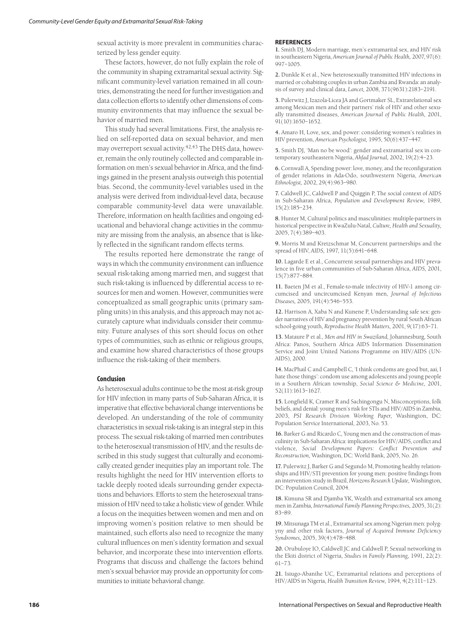sexual activity is more prevalent in communities characterized by less gender equity.

These factors, however, do not fully explain the role of the community in shaping extramarital sexual activity. Significant community-level variation remained in all countries, demonstrating the need for further investigation and data collection efforts to identify other dimensions of community environments that may influence the sexual behavior of married men.

This study had several limitations. First, the analysis relied on self-reported data on sexual behavior, and men may overreport sexual activity.<sup>42,43</sup> The DHS data, however, remain the only routinely collected and comparable information on men's sexual behavior in Africa, and the findings gained in the present analysis outweigh this potential bias. Second, the community-level variables used in the analysis were derived from individual-level data, because comparable community-level data were unavailable. Therefore, information on health facilities and ongoing educational and behavioral change activities in the community are missing from the analysis, an absence that is likely reflected in the significant random effects terms.

The results reported here demonstrate the range of ways in which the community environment can influence sexual risk-taking among married men, and suggest that such risk-taking is influenced by differential access to resources for men and women. However, communities were conceptualized as small geographic units (primary sampling units) in this analysis, and this approach may not accurately capture what individuals consider their community. Future analyses of this sort should focus on other types of communities, such as ethnic or religious groups, and examine how shared characteristics of those groups influence the risk-taking of their members.

#### **Conclusion**

As heterosexual adults continue to be the most at-risk group for HIV infection in many parts of Sub-Saharan Africa, it is imperative that effective behavioral change interventions be developed. An understanding of the role of community characteristics in sexual risk-taking is an integral step in this process. The sexual risk-taking of married men contributes to the heterosexual transmission of HIV, and the results described in this study suggest that culturally and economically created gender inequities play an important role. The results highlight the need for HIV intervention efforts to tackle deeply rooted ideals surrounding gender expectations and behaviors. Efforts to stem the heterosexual transmission of HIV need to take a holistic view of gender. While a focus on the inequities between women and men and on improving women's position relative to men should be maintained, such efforts also need to recognize the many cultural influences on men's identity formation and sexual behavior, and incorporate these into intervention efforts. Programs that discuss and challenge the factors behind men's sexual behavior may provide an opportunity for communities to initiate behavioral change.

#### **REFERENCES**

**1.** Smith DJ, Modern marriage, men's extramarital sex, and HIV risk in southeastern Nigeria, *American Journal of Public Health,* 2007, 97(6): 997–1005.

**2.** Dunkle K et al., New heterosexually transmitted HIV infections in married or cohabiting couples in urban Zambia and Rwanda: an analysis of survey and clinical data, *Lancet,* 2008, 371(9631):2183–2191.

**3.** Pulerwitz J, Izazola-Licea JA and Gortmaker SL, Extrarelational sex among Mexican men and their partners' risk of HIV and other sexually transmitted diseases, *American Journal of Public Health,* 2001, 91(10):1650–1652.

**4.** Amaro H, Love, sex, and power: considering women's realities in HIV prevention, *American Psychologist,* 1995, 50(6):437–447.

**5.** Smith DJ, 'Man no be wood': gender and extramarital sex in contemporary southeastern Nigeria, *Ahfad Journal,* 2002, 19(2):4–23.

**6.** Cornwall A, Spending power: love, money, and the reconfiguration of gender relations in Ada-Odo, southwestern Nigeria, *American Ethnologist,* 2002, 29(4):963–980.

**7.** Caldwell JC, Caldwell P and Quiggin P, The social context of AIDS in Sub-Saharan Africa, *Population and Development Review,* 1989, 15(2):185–234.

**8.** Hunter M, Cultural politics and masculinities: multiple-partners in historical perspective in KwaZulu-Natal, *Culture, Health and Sexuality,* 2005, 7(4):389–403.

**9.** Morris M and Kretzschmar M, Concurrent partnerships and the spread of HIV, *AIDS,* 1997, 11(5):641–648.

**10.** Lagarde E et al., Concurrent sexual partnerships and HIV prevalence in five urban communities of Sub-Saharan Africa, *AIDS,* 2001, 15(7):877–884.

**11.** Baeten JM et al., Female-to-male infectivity of HIV-1 among circumcised and uncircumcised Kenyan men, *Journal of Infectious Diseases,* 2005, 191(4):546–553.

**12.** Harrison A, Xaba N and Kunene P, Understanding safe sex: gender narratives of HIV and pregnancy prevention by rural South African school-going youth, *Reproductive Health Matters,* 2001, 9(17):63–71.

**13.** Mataure P et al., *Men and HIV in Swaziland,* Johannesburg, South Africa: Panos, Southern Africa AIDS Information Dissemination Service and Joint United Nations Programme on HIV/AIDS (UN-AIDS), 2000.

**14.** MacPhail C and Campbell C, 'I think condoms are good but, aai, I hate those things': condom use among adolescents and young people in a Southern African township, *Social Science & Medicine,* 2001, 52(11):1613–1627.

**15.** Longfield K, Cramer R and Sachingongu N, Misconceptions, folk beliefs, and denial: young men's risk for STIs and HIV/AIDS in Zambia, 2003, *PSI Research Division Working Paper,* Washington, DC: Population Service International, 2003, No. 53.

**16.** Barker G and Ricardo C, Young men and the construction of masculinity in Sub-Saharan Africa: implications for HIV/AIDS, conflict and violence, *Social Development Papers: Conflict Prevention and Reconstruction,* Washington, DC: World Bank, 2005, No. 26.

**17.** Pulerwitz J, Barker G and Segundo M, Promoting healthy relationships and HIV/STI prevention for young men: positive findings from an intervention study in Brazil, *Horizons Research Update,* Washington, DC: Population Council, 2004.

**18.** Kimuna SR and Djamba YK, Wealth and extramarital sex among men in Zambia, *International Family Planning Perspectives,* 2005, 31(2): 83–89.

**19.** Mitsunaga TM et al., Extramarital sex among Nigerian men: polygyny and other risk factors, *Journal of Acquired Immune Deficiency Syndromes,* 2005, 39(4):478–488.

**20.** Orubuloye IO, Caldwell JC and Caldwell P, Sexual networking in the Ekiti district of Nigeria, *Studies in Family Planning,* 1991, 22(2): 61–73.

**21.** Isiugo-Abanihe UC, Extramarital relations and perceptions of HIV/AIDS in Nigeria, *Health Transition Review,* 1994, 4(2):111–125.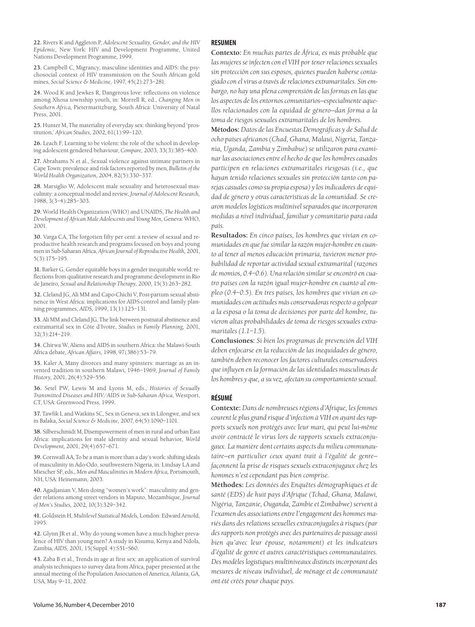**22.** Rivers K and Aggleton P, *Adolescent Sexuality, Gender, and the HIV Epidemic,* New York: HIV and Development Programme, United Nations Development Programme, 1999.

**23.** Campbell C, Migrancy, masculine identities and AIDS: the psychosocial context of HIV transmission on the South African gold mines, *Social Science & Medicine,* 1997, 45(2):273–281.

**24.** Wood K and Jewkes R, Dangerous love: reflections on violence among Xhosa township youth, in: Morrell R, ed., *Changing Men in Southern Africa,* Pietermaritzburg, South Africa: University of Natal Press, 2001.

**25.** Hunter M, The materiality of everyday sex: thinking beyond 'prostitution,' *African Studies,* 2002, 61(1):99–120.

**26.** Leach F, Learning to be violent: the role of the school in developing adolescent gendered behaviour, *Compare,* 2003, 33(3):385–400.

**27.** Abrahams N et al., Sexual violence against intimate partners in Cape Town: prevalence and risk factors reported by men, *Bulletin of the World Health Organization,* 2004, 82(5):330–337.

**28.** Marsiglio W, Adolescent male sexuality and heterosexual masculinity: a conceptual model and review, *Journal of Adolescent Research,* 1988, 3(3–4):285–303.

**29.** World Health Organization (WHO) and UNAIDS, *The Health and Development of African Male Adolescents and Young Men,* Geneva: WHO, 2001.

**30.** Varga CA, The forgotten fifty per cent: a review of sexual and reproductive health research and programs focused on boys and young men in Sub-Saharan Africa, *African Journal of Reproductive Health,* 2001, 5(3):175–195.

**31.** Barker G, Gender equitable boys in a gender inequitable world: reflections from qualitative research and programme development in Rio de Janeiro, *Sexual and Relationship Therapy,* 2000, 15(3):263–282.

**32.** Cleland JG, Ali MM and Capo-Chichi V, Post-partum sexual abstinence in West Africa: implications for AIDS-control and family planning programmes, *AIDS,* 1999, 13(1):125–131.

**33.** Ali MM and Cleland JG, The link between postnatal abstinence and extramarital sex in Côte d'Ivoire, *Studies in Family Planning,* 2001, 32(3):214–219.

**34.** Chirwa W, Aliens and AIDS in southern Africa: the Malawi-South Africa debate, *African Affairs,* 1998, 97(386):53–79.

**35.** Kaler A, Many divorces and many spinsters: marriage as an invented tradition in southern Malawi, 1946–1969, *Journal of Family History,* 2001, 26(4):529–556.

**36.** Setel PW, Lewis M and Lyons M, eds., *Histories of Sexually Transmitted Diseases and HIV/AIDS in Sub-Saharan Africa,* Westport, CT, USA: Greenwood Press, 1999.

**37.** Tawfik L and Watkins SC, Sex in Geneva, sex in Lilongwe, and sex in Balaka, *Social Science & Medicine,* 2007, 64(5):1090–1101.

**38.** Silberschmidt M, Disempowerment of men in rural and urban East Africa: implications for male identity and sexual behavior, *World Development,* 2001, 29(4):657–671.

**39.** Cornwall AA, To be a man is more than a day's work: shifting ideals of masculinity in Ado-Odo, southwestern Nigeria, in: Lindsay LA and Miescher SF, eds., *Men and Masculinities in Modern Africa,* Portsmouth, NH, USA: Heinemann, 2003.

**40.** Agadjanian V, Men doing "women's work": masculinity and gender relations among street vendors in Maputo, Mozambique, *Journal of Men's Studies,* 2002, 10(3):329–342.

**41.** Goldstein H, *Multilevel Statistical Models,* London: Edward Arnold, 1995.

**42.** Glynn JR et al., Why do young women have a much higher prevalence of HIV than young men? A study in Kisumu, Kenya and Ndola, Zambia, *AIDS,* 2001, 15(Suppl. 4):S51–S60.

**43.** Zaba B et al., Trends in age at first sex: an application of survival analysis techniques to survey data from Africa, paper presented at the annual meeting of the Population Association of America, Atlanta, GA, USA, May 9–11, 2002.

#### **RESUMEN**

**Contexto:** *En muchas partes de África, es más probable que las mujeres se infecten con el VIH por tener relaciones sexuales sin protección con sus esposos, quienes pueden haberse contagiado con el virus a través de relaciones extramaritales. Sin embargo, no hay una plena comprensión de las formas en las que los aspectos de los entornos comunitarios—especialmente aquellos relacionados con la equidad de género—dan forma a la toma de riesgos sexuales extramaritales de los hombres.*

**Métodos:** *Datos de las Encuestas Demográficas y de Salud de ocho países africanos (Chad, Ghana, Malaui, Nigeria, Tanzania, Uganda, Zambia y Zimbabue) se utilizaron para examinar las asociaciones entre el hecho de que los hombres casados participen en relaciones extramaritales riesgosas (i.e., que hayan tenido relaciones sexuales sin protección tanto con parejas casuales como su propia esposa) y los indicadores de equidad de género y otras características de la comunidad. Se crearon modelos logísticos multinivel separados que incorporaron medidas a nivel individual, familiar y comunitario para cada país.*

**Resultados:** *En cinco países, los hombres que vivían en comunidades en que fue similar la razón mujer-hombre en cuanto al tener al menos educación primaria, tuvieron menor probabilidad de reportar actividad sexual extramarital (razones de momios, 0.4–0.6). Una relación similar se encontró en cuatro países con la razón igual mujer-hombre en cuanto al empleo (0.4–0.5). En tres países, los hombres que vivían en comunidades con actitudes más conservadoras respecto a golpear a la esposa o la toma de decisiones por parte del hombre, tuvieron altas probabilidades de toma de riesgos sexuales extramaritales (1.1–1.5).*

**Conclusiones:** *Si bien los programas de prevención del VIH deben enfocarse en la reducción de las inequidades de género, también deben reconocer los factores culturales conservadores que influyen en la formación de las identidades masculinas de los hombres y que, a su vez, afectan su comportamiento sexual.*

#### **RÉSUMÉ**

**Contexte:** *Dans de nombreuses régions d'Afrique, les femmes courent le plus grand risque d'infection à VIH en ayant des rapports sexuels non protégés avec leur mari, qui peut lui-même avoir contracté le virus lors de rapports sexuels extraconjugaux. La manière dont certains aspects du milieu communautaire—en particulier ceux ayant trait à l'égalité de genre façonnent la prise de risques sexuels extraconjugaux chez les hommes n'est cependant pas bien comprise.*

**Méthodes:** *Les données des Enquêtes démographiques et de santé (EDS) de huit pays d'Afrique (Tchad, Ghana, Malawi, Nigéria, Tanzanie, Ouganda, Zambie et Zimbabwe) servent à l'examen des associations entre l'engagement des hommes mariés dans des relations sexuelles extraconjugales à risques (par des rapports non protégés avec des partenaires de passage aussi bien qu'avec leur épouse, notamment) et les indicateurs d'égalité de genre et autres caractéristiques communautaires. Des modèles logistiques multiniveaux distincts incorporant des mesures de niveau individuel, de ménage et de communauté ont été créés pour chaque pays.*